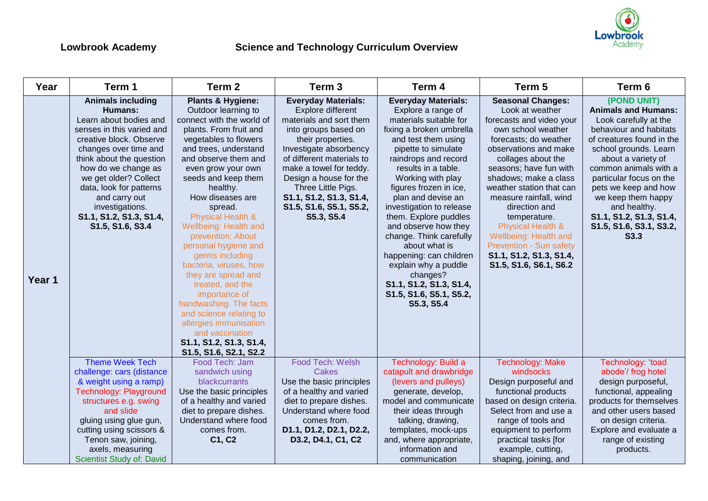

| Year   | Term 1                                                                                                                                                                                                                                                                                                                                          | Term <sub>2</sub>                                                                                                                                                                                                                                                                                                                                                                                                                                                                                                                                                                                                                       | Term <sub>3</sub>                                                                                                                                                                                                                                                                                                             | Term 4                                                                                                                                                                                                                                                                                                                                                                                                                                                                                                                               | Term 5                                                                                                                                                                                                                                                                                                                                                                                                                                        | Term 6                                                                                                                                                                                                                                                                                                                                                   |
|--------|-------------------------------------------------------------------------------------------------------------------------------------------------------------------------------------------------------------------------------------------------------------------------------------------------------------------------------------------------|-----------------------------------------------------------------------------------------------------------------------------------------------------------------------------------------------------------------------------------------------------------------------------------------------------------------------------------------------------------------------------------------------------------------------------------------------------------------------------------------------------------------------------------------------------------------------------------------------------------------------------------------|-------------------------------------------------------------------------------------------------------------------------------------------------------------------------------------------------------------------------------------------------------------------------------------------------------------------------------|--------------------------------------------------------------------------------------------------------------------------------------------------------------------------------------------------------------------------------------------------------------------------------------------------------------------------------------------------------------------------------------------------------------------------------------------------------------------------------------------------------------------------------------|-----------------------------------------------------------------------------------------------------------------------------------------------------------------------------------------------------------------------------------------------------------------------------------------------------------------------------------------------------------------------------------------------------------------------------------------------|----------------------------------------------------------------------------------------------------------------------------------------------------------------------------------------------------------------------------------------------------------------------------------------------------------------------------------------------------------|
| Year 1 | <b>Animals including</b><br><b>Humans:</b><br>Learn about bodies and<br>senses in this varied and<br>creative block. Observe<br>changes over time and<br>think about the question<br>how do we change as<br>we get older? Collect<br>data, look for patterns<br>and carry out<br>investigations.<br>S1.1, S1.2, S1.3, S1.4,<br>S1.5, S1.6, S3.4 | <b>Plants &amp; Hygiene:</b><br>Outdoor learning to<br>connect with the world of<br>plants. From fruit and<br>vegetables to flowers<br>and trees, understand<br>and observe them and<br>even grow your own<br>seeds and keep them<br>healthy.<br>How diseases are<br>spread.<br>Physical Health &<br>Wellbeing: Health and<br>prevention: About<br>personal hygiene and<br>germs including<br>bacteria, viruses, how<br>they are spread and<br>treated, and the<br>importance of<br>handwashing. The facts<br>and science relating to<br>allergies immunisation<br>and vaccination<br>S1.1, S1.2, S1.3, S1.4,<br>S1.5, S1.6, S2.1, S2.2 | <b>Everyday Materials:</b><br>Explore different<br>materials and sort them<br>into groups based on<br>their properties.<br>Investigate absorbency<br>of different materials to<br>make a towel for teddy.<br>Design a house for the<br>Three Little Pigs.<br>S1.1, S1.2, S1.3, S1.4,<br>S1.5, S1.6, S5.1, S5.2,<br>S5.3, S5.4 | <b>Everyday Materials:</b><br>Explore a range of<br>materials suitable for<br>fixing a broken umbrella<br>and test them using<br>pipette to simulate<br>raindrops and record<br>results in a table.<br>Working with play<br>figures frozen in ice,<br>plan and devise an<br>investigation to release<br>them. Explore puddles<br>and observe how they<br>change. Think carefully<br>about what is<br>happening: can children<br>explain why a puddle<br>changes?<br>S1.1, S1.2, S1.3, S1.4,<br>S1.5, S1.6, S5.1, S5.2,<br>S5.3, S5.4 | <b>Seasonal Changes:</b><br>Look at weather<br>forecasts and video your<br>own school weather<br>forecasts; do weather<br>observations and make<br>collages about the<br>seasons; have fun with<br>shadows; make a class<br>weather station that can<br>measure rainfall, wind<br>direction and<br>temperature.<br>Physical Health &<br>Wellbeing: Health and<br>Prevention - Sun safety<br>S1.1, S1.2, S1.3, S1.4,<br>S1.5, S1.6, S6.1, S6.2 | (POND UNIT)<br><b>Animals and Humans:</b><br>Look carefully at the<br>behaviour and habitats<br>of creatures found in the<br>school grounds. Learn<br>about a variety of<br>common animals with a<br>particular focus on the<br>pets we keep and how<br>we keep them happy<br>and healthy.<br>S1.1, S1.2, S1.3, S1.4,<br>S1.5, S1.6, S3.1, S3.2,<br>S3.3 |
|        | <b>Theme Week Tech</b><br>challenge: cars (distance<br>& weight using a ramp)<br>Technology: Playground<br>structures e.g. swing                                                                                                                                                                                                                | Food Tech: Jam<br>sandwich using<br>blackcurrants<br>Use the basic principles<br>of a healthy and varied                                                                                                                                                                                                                                                                                                                                                                                                                                                                                                                                | Food Tech: Welsh<br><b>Cakes</b><br>Use the basic principles<br>of a healthy and varied<br>diet to prepare dishes.                                                                                                                                                                                                            | Technology: Build a<br>catapult and drawbridge<br>(levers and pulleys)<br>generate, develop,<br>model and communicate                                                                                                                                                                                                                                                                                                                                                                                                                | <b>Technology: Make</b><br>windsocks<br>Design purposeful and<br>functional products<br>based on design criteria.                                                                                                                                                                                                                                                                                                                             | Technology: 'toad<br>abode'/ frog hotel<br>design purposeful,<br>functional, appealing<br>products for themselves                                                                                                                                                                                                                                        |
|        | and slide<br>gluing using glue gun,<br>cutting using scissors &<br>Tenon saw, joining,<br>axels, measuring<br>Scientist Study of: David                                                                                                                                                                                                         | diet to prepare dishes.<br>Understand where food<br>comes from.<br>C1, C2                                                                                                                                                                                                                                                                                                                                                                                                                                                                                                                                                               | Understand where food<br>comes from.<br>D1.1, D1.2, D2.1, D2.2,<br>D3.2, D4.1, C1, C2                                                                                                                                                                                                                                         | their ideas through<br>talking, drawing,<br>templates, mock-ups<br>and, where appropriate,<br>information and<br>communication                                                                                                                                                                                                                                                                                                                                                                                                       | Select from and use a<br>range of tools and<br>equipment to perform<br>practical tasks [for<br>example, cutting,<br>shaping, joining, and                                                                                                                                                                                                                                                                                                     | and other users based<br>on design criteria.<br>Explore and evaluate a<br>range of existing<br>products.                                                                                                                                                                                                                                                 |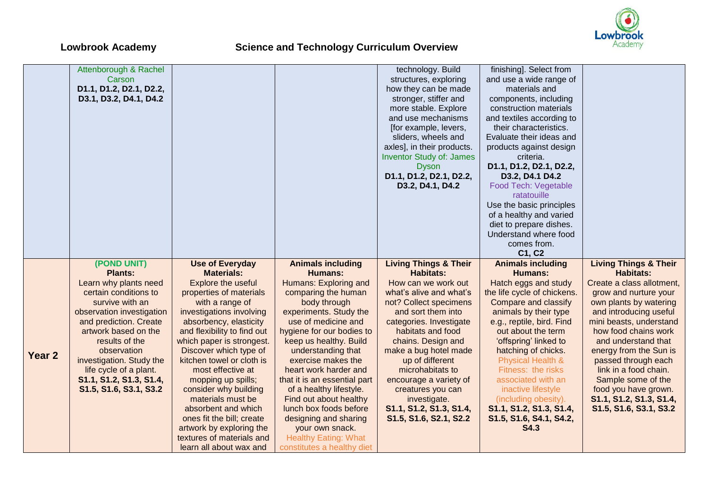

|                   | Attenborough & Rachel                    |                                                      |                                                           | technology. Build                | finishing]. Select from      |                                  |
|-------------------|------------------------------------------|------------------------------------------------------|-----------------------------------------------------------|----------------------------------|------------------------------|----------------------------------|
|                   | Carson                                   |                                                      |                                                           | structures, exploring            | and use a wide range of      |                                  |
|                   | D1.1, D1.2, D2.1, D2.2,                  |                                                      |                                                           | how they can be made             | materials and                |                                  |
|                   | D3.1, D3.2, D4.1, D4.2                   |                                                      |                                                           | stronger, stiffer and            | components, including        |                                  |
|                   |                                          |                                                      |                                                           | more stable. Explore             | construction materials       |                                  |
|                   |                                          |                                                      |                                                           | and use mechanisms               | and textiles according to    |                                  |
|                   |                                          |                                                      |                                                           | [for example, levers,            | their characteristics.       |                                  |
|                   |                                          |                                                      |                                                           | sliders, wheels and              | Evaluate their ideas and     |                                  |
|                   |                                          |                                                      |                                                           | axles], in their products.       | products against design      |                                  |
|                   |                                          |                                                      |                                                           | <b>Inventor Study of: James</b>  | criteria.                    |                                  |
|                   |                                          |                                                      |                                                           | <b>Dyson</b>                     | D1.1, D1.2, D2.1, D2.2,      |                                  |
|                   |                                          |                                                      |                                                           | D1.1, D1.2, D2.1, D2.2,          | D3.2, D4.1 D4.2              |                                  |
|                   |                                          |                                                      |                                                           | D3.2, D4.1, D4.2                 | Food Tech: Vegetable         |                                  |
|                   |                                          |                                                      |                                                           |                                  | ratatouille                  |                                  |
|                   |                                          |                                                      |                                                           |                                  | Use the basic principles     |                                  |
|                   |                                          |                                                      |                                                           |                                  | of a healthy and varied      |                                  |
|                   |                                          |                                                      |                                                           |                                  | diet to prepare dishes.      |                                  |
|                   |                                          |                                                      |                                                           |                                  | Understand where food        |                                  |
|                   |                                          |                                                      |                                                           |                                  | comes from.                  |                                  |
|                   |                                          |                                                      |                                                           |                                  | C1, C2                       |                                  |
|                   | (POND UNIT)                              |                                                      |                                                           | <b>Living Things &amp; Their</b> | <b>Animals including</b>     | <b>Living Things &amp; Their</b> |
|                   | <b>Plants:</b>                           | <b>Use of Everyday</b>                               | <b>Animals including</b><br><b>Humans:</b>                | <b>Habitats:</b>                 |                              | <b>Habitats:</b>                 |
|                   |                                          | <b>Materials:</b>                                    |                                                           |                                  | <b>Humans:</b>               |                                  |
|                   | Learn why plants need                    | Explore the useful                                   | Humans: Exploring and                                     | How can we work out              | Hatch eggs and study         | Create a class allotment,        |
|                   | certain conditions to<br>survive with an | properties of materials                              | comparing the human                                       | what's alive and what's          | the life cycle of chickens.  | grow and nurture your            |
|                   |                                          |                                                      |                                                           |                                  |                              |                                  |
|                   |                                          | with a range of                                      | body through                                              | not? Collect specimens           | Compare and classify         | own plants by watering           |
|                   | observation investigation                | investigations involving                             | experiments. Study the                                    | and sort them into               | animals by their type        | and introducing useful           |
|                   | and prediction. Create                   | absorbency, elasticity                               | use of medicine and                                       | categories. Investigate          | e.g., reptile, bird. Find    | mini beasts, understand          |
|                   | artwork based on the                     | and flexibility to find out                          | hygiene for our bodies to                                 | habitats and food                | out about the term           | how food chains work             |
|                   | results of the                           | which paper is strongest.                            | keep us healthy. Build                                    | chains. Design and               | 'offspring' linked to        | and understand that              |
|                   | observation                              | Discover which type of                               | understanding that                                        | make a bug hotel made            | hatching of chicks.          | energy from the Sun is           |
| Year <sub>2</sub> | investigation. Study the                 | kitchen towel or cloth is                            | exercise makes the                                        | up of different                  | <b>Physical Health &amp;</b> | passed through each              |
|                   | life cycle of a plant.                   | most effective at                                    | heart work harder and                                     | microhabitats to                 | Fitness: the risks           | link in a food chain.            |
|                   | S1.1, S1.2, S1.3, S1.4,                  | mopping up spills;                                   | that it is an essential part                              | encourage a variety of           | associated with an           | Sample some of the               |
|                   | S1.5, S1.6, S3.1, S3.2                   | consider why building                                | of a healthy lifestyle.                                   | creatures you can                | inactive lifestyle           | food you have grown.             |
|                   |                                          | materials must be                                    | Find out about healthy                                    | investigate.                     | (including obesity).         | S1.1, S1.2, S1.3, S1.4,          |
|                   |                                          | absorbent and which                                  | lunch box foods before                                    | S1.1, S1.2, S1.3, S1.4,          | S1.1, S1.2, S1.3, S1.4,      | S1.5, S1.6, S3.1, S3.2           |
|                   |                                          | ones fit the bill; create                            | designing and sharing                                     | S1.5, S1.6, S2.1, S2.2           | S1.5, S1.6, S4.1, S4.2,      |                                  |
|                   |                                          | artwork by exploring the                             | your own snack.                                           |                                  | <b>S4.3</b>                  |                                  |
|                   |                                          | textures of materials and<br>learn all about wax and | <b>Healthy Eating: What</b><br>constitutes a healthy diet |                                  |                              |                                  |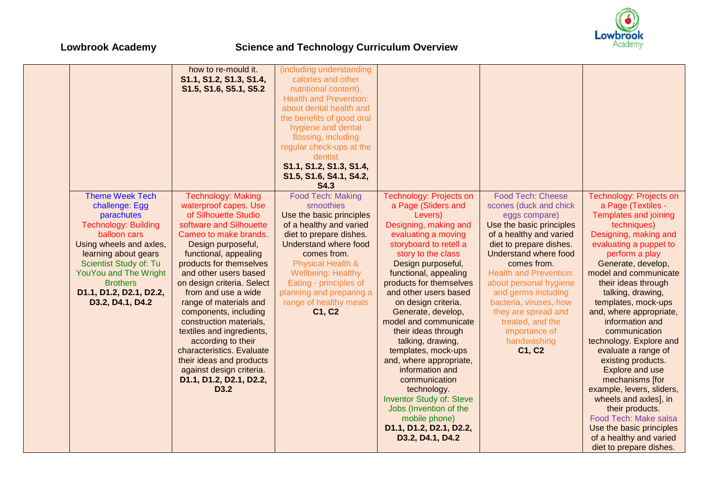

|                                                                                                                                                                                                                                                                                      | how to re-mould it.<br>S1.1, S1.2, S1.3, S1.4,<br>S1.5, S1.6, S5.1, S5.2                                                                                                                                                                                                                                                                                                                                                                                                                                                                                    | (including understanding<br>calories and other<br>nutritional content).<br><b>Health and Prevention:</b><br>about dental health and<br>the benefits of good oral<br>hygiene and dental<br>flossing, including<br>regular check-ups at the<br>dentist<br>S1.1, S1.2, S1.3, S1.4,<br>S1.5, S1.6, S4.1, S4.2,<br><b>S4.3</b> |                                                                                                                                                                                                                                                                                                                                                                                                                                                                                                                                                                                                                  |                                                                                                                                                                                                                                                                                                                                                                                                       |                                                                                                                                                                                                                                                                                                                                                                                                                                                                                                                                                                                                                                                      |
|--------------------------------------------------------------------------------------------------------------------------------------------------------------------------------------------------------------------------------------------------------------------------------------|-------------------------------------------------------------------------------------------------------------------------------------------------------------------------------------------------------------------------------------------------------------------------------------------------------------------------------------------------------------------------------------------------------------------------------------------------------------------------------------------------------------------------------------------------------------|---------------------------------------------------------------------------------------------------------------------------------------------------------------------------------------------------------------------------------------------------------------------------------------------------------------------------|------------------------------------------------------------------------------------------------------------------------------------------------------------------------------------------------------------------------------------------------------------------------------------------------------------------------------------------------------------------------------------------------------------------------------------------------------------------------------------------------------------------------------------------------------------------------------------------------------------------|-------------------------------------------------------------------------------------------------------------------------------------------------------------------------------------------------------------------------------------------------------------------------------------------------------------------------------------------------------------------------------------------------------|------------------------------------------------------------------------------------------------------------------------------------------------------------------------------------------------------------------------------------------------------------------------------------------------------------------------------------------------------------------------------------------------------------------------------------------------------------------------------------------------------------------------------------------------------------------------------------------------------------------------------------------------------|
| <b>Theme Week Tech</b><br>challenge: Egg<br>parachutes<br><b>Technology: Building</b><br>balloon cars<br>Using wheels and axles,<br>learning about gears<br>Scientist Study of: Tu<br><b>YouYou and The Wright</b><br><b>Brothers</b><br>D1.1, D1.2, D2.1, D2.2,<br>D3.2, D4.1, D4.2 | <b>Technology: Making</b><br>waterproof capes. Use<br>of Silhouette Studio<br>software and Silhouette<br>Cameo to make brands.<br>Design purposeful,<br>functional, appealing<br>products for themselves<br>and other users based<br>on design criteria. Select<br>from and use a wide<br>range of materials and<br>components, including<br>construction materials,<br>textiles and ingredients,<br>according to their<br>characteristics. Evaluate<br>their ideas and products<br>against design criteria.<br>D1.1, D1.2, D2.1, D2.2,<br>D <sub>3.2</sub> | Food Tech: Making<br>smoothies<br>Use the basic principles<br>of a healthy and varied<br>diet to prepare dishes.<br>Understand where food<br>comes from.<br><b>Physical Health &amp;</b><br><b>Wellbeing: Healthy</b><br>Eating - principles of<br>planning and preparing a<br>range of healthy meals<br>C1, C2           | Technology: Projects on<br>a Page (Sliders and<br>Levers)<br>Designing, making and<br>evaluating a moving<br>storyboard to retell a<br>story to the class<br>Design purposeful,<br>functional, appealing<br>products for themselves<br>and other users based<br>on design criteria.<br>Generate, develop,<br>model and communicate<br>their ideas through<br>talking, drawing,<br>templates, mock-ups<br>and, where appropriate,<br>information and<br>communication<br>technology.<br><b>Inventor Study of: Steve</b><br>Jobs (Invention of the<br>mobile phone)<br>D1.1, D1.2, D2.1, D2.2,<br>D3.2, D4.1, D4.2 | <b>Food Tech: Cheese</b><br>scones (duck and chick<br>eggs compare)<br>Use the basic principles<br>of a healthy and varied<br>diet to prepare dishes.<br><b>Understand where food</b><br>comes from.<br><b>Health and Prevention:</b><br>about personal hygiene<br>and germs including<br>bacteria, viruses, how<br>they are spread and<br>treated, and the<br>importance of<br>handwashing<br>C1, C2 | Technology: Projects on<br>a Page (Textiles -<br><b>Templates and joining</b><br>techniques)<br>Designing, making and<br>evaluating a puppet to<br>perform a play<br>Generate, develop,<br>model and communicate<br>their ideas through<br>talking, drawing,<br>templates, mock-ups<br>and, where appropriate,<br>information and<br>communication<br>technology. Explore and<br>evaluate a range of<br>existing products.<br>Explore and use<br>mechanisms [for<br>example, levers, sliders,<br>wheels and axles], in<br>their products.<br>Food Tech: Make salsa<br>Use the basic principles<br>of a healthy and varied<br>diet to prepare dishes. |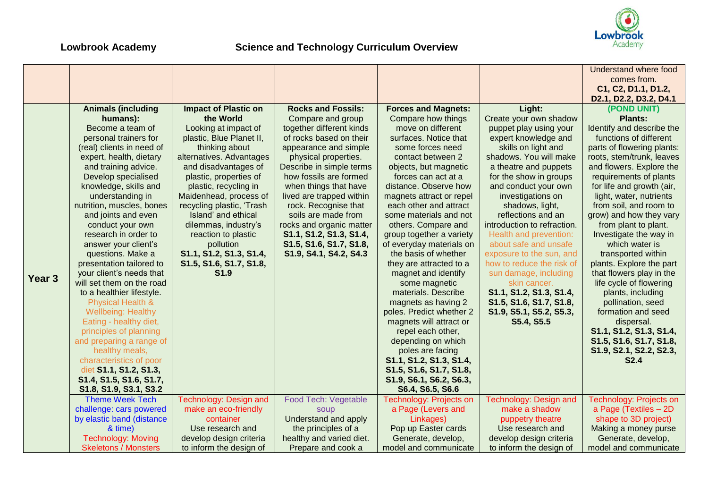

|                   |                              |                             |                           |                            |                             | Understand where food      |
|-------------------|------------------------------|-----------------------------|---------------------------|----------------------------|-----------------------------|----------------------------|
|                   |                              |                             |                           |                            |                             | comes from.                |
|                   |                              |                             |                           |                            |                             | C1, C2, D1.1, D1.2,        |
|                   |                              |                             |                           |                            |                             | D2.1, D2.2, D3.2, D4.1     |
|                   | <b>Animals (including</b>    | <b>Impact of Plastic on</b> | <b>Rocks and Fossils:</b> | <b>Forces and Magnets:</b> | Light:                      | (POND UNIT)                |
|                   | humans):                     | the World                   | Compare and group         | Compare how things         | Create your own shadow      | <b>Plants:</b>             |
|                   | Become a team of             | Looking at impact of        | together different kinds  | move on different          | puppet play using your      | Identify and describe the  |
|                   | personal trainers for        | plastic, Blue Planet II,    | of rocks based on their   | surfaces. Notice that      | expert knowledge and        | functions of different     |
|                   | (real) clients in need of    | thinking about              | appearance and simple     | some forces need           | skills on light and         | parts of flowering plants: |
|                   | expert, health, dietary      | alternatives. Advantages    | physical properties.      | contact between 2          | shadows. You will make      | roots, stem/trunk, leaves  |
|                   | and training advice.         | and disadvantages of        | Describe in simple terms  | objects, but magnetic      | a theatre and puppets       | and flowers. Explore the   |
|                   | Develop specialised          | plastic, properties of      | how fossils are formed    | forces can act at a        | for the show in groups      | requirements of plants     |
|                   | knowledge, skills and        | plastic, recycling in       | when things that have     | distance. Observe how      | and conduct your own        | for life and growth (air,  |
|                   | understanding in             | Maidenhead, process of      | lived are trapped within  | magnets attract or repel   | investigations on           | light, water, nutrients    |
|                   | nutrition, muscles, bones    | recycling plastic, 'Trash   | rock. Recognise that      | each other and attract     | shadows, light,             | from soil, and room to     |
|                   | and joints and even          | Island' and ethical         | soils are made from       | some materials and not     | reflections and an          | grow) and how they vary    |
|                   | conduct your own             | dilemmas, industry's        | rocks and organic matter  | others. Compare and        | introduction to refraction. | from plant to plant.       |
|                   | research in order to         | reaction to plastic         | S1.1, S1.2, S1.3, S1.4,   | group together a variety   | Health and prevention:      | Investigate the way in     |
|                   | answer your client's         | pollution                   | S1.5, S1.6, S1.7, S1.8,   | of everyday materials on   | about safe and unsafe       | which water is             |
|                   | questions. Make a            | S1.1, S1.2, S1.3, S1.4,     | S1.9, S4.1, S4.2, S4.3    | the basis of whether       | exposure to the sun, and    | transported within         |
|                   | presentation tailored to     | S1.5, S1.6, S1.7, S1.8,     |                           | they are attracted to a    | how to reduce the risk of   | plants. Explore the part   |
|                   | your client's needs that     | S <sub>1.9</sub>            |                           | magnet and identify        | sun damage, including       | that flowers play in the   |
| Year <sub>3</sub> | will set them on the road    |                             |                           | some magnetic              | skin cancer.                | life cycle of flowering    |
|                   | to a healthier lifestyle.    |                             |                           | materials. Describe        | S1.1, S1.2, S1.3, S1.4,     | plants, including          |
|                   | <b>Physical Health &amp;</b> |                             |                           | magnets as having 2        | S1.5, S1.6, S1.7, S1.8,     | pollination, seed          |
|                   | <b>Wellbeing: Healthy</b>    |                             |                           | poles. Predict whether 2   | S1.9, S5.1, S5.2, S5.3,     | formation and seed         |
|                   | Eating - healthy diet,       |                             |                           | magnets will attract or    | S5.4, S5.5                  | dispersal.                 |
|                   | principles of planning       |                             |                           | repel each other,          |                             | S1.1, S1.2, S1.3, S1.4,    |
|                   | and preparing a range of     |                             |                           | depending on which         |                             | S1.5, S1.6, S1.7, S1.8,    |
|                   | healthy meals,               |                             |                           | poles are facing           |                             | S1.9, S2.1, S2.2, S2.3,    |
|                   | characteristics of poor      |                             |                           | S1.1, S1.2, S1.3, S1.4,    |                             | <b>S2.4</b>                |
|                   | diet S1.1, S1.2, S1.3,       |                             |                           | S1.5, S1.6, S1.7, S1.8,    |                             |                            |
|                   | S1.4, S1.5, S1.6, S1.7,      |                             |                           | S1.9, S6.1, S6.2, S6.3,    |                             |                            |
|                   | S1.8, S1.9, S3.1, S3.2       |                             |                           | S6.4, S6.5, S6.6           |                             |                            |
|                   | <b>Theme Week Tech</b>       | Technology: Design and      | Food Tech: Vegetable      | Technology: Projects on    | Technology: Design and      | Technology: Projects on    |
|                   | challenge: cars powered      | make an eco-friendly        | soup                      | a Page (Levers and         | make a shadow               | a Page (Textiles - 2D      |
|                   | by elastic band (distance    | container                   | Understand and apply      | Linkages)                  | puppetry theatre            | shape to 3D project)       |
|                   | & time)                      | Use research and            | the principles of a       | Pop up Easter cards        | Use research and            | Making a money purse       |
|                   | <b>Technology: Moving</b>    | develop design criteria     | healthy and varied diet.  | Generate, develop,         | develop design criteria     | Generate, develop,         |
|                   | <b>Skeletons / Monsters</b>  | to inform the design of     | Prepare and cook a        | model and communicate      | to inform the design of     | model and communicate      |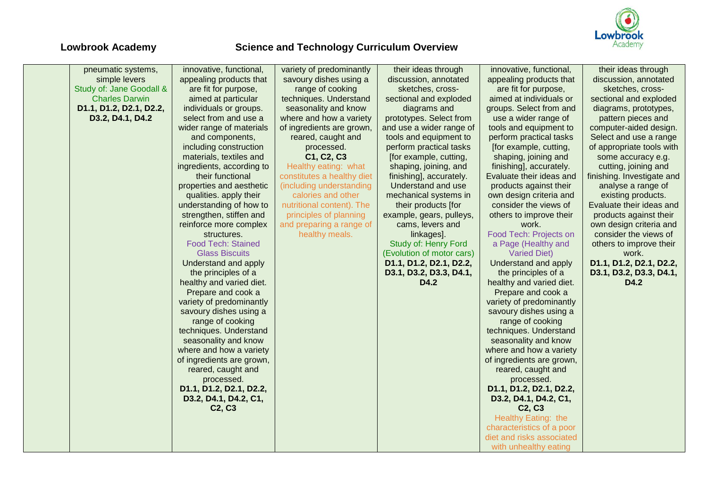

| pneumatic systems,       | innovative, functional,         | variety of predominantly   | their ideas through       | innovative, functional,         | their ideas through        |
|--------------------------|---------------------------------|----------------------------|---------------------------|---------------------------------|----------------------------|
| simple levers            | appealing products that         | savoury dishes using a     | discussion, annotated     | appealing products that         | discussion, annotated      |
| Study of: Jane Goodall & | are fit for purpose,            | range of cooking           | sketches, cross-          | are fit for purpose,            | sketches, cross-           |
| <b>Charles Darwin</b>    | aimed at particular             | techniques. Understand     | sectional and exploded    | aimed at individuals or         | sectional and exploded     |
| D1.1, D1.2, D2.1, D2.2,  | individuals or groups.          | seasonality and know       | diagrams and              | groups. Select from and         | diagrams, prototypes,      |
| D3.2, D4.1, D4.2         | select from and use a           | where and how a variety    | prototypes. Select from   | use a wider range of            | pattern pieces and         |
|                          | wider range of materials        | of ingredients are grown,  | and use a wider range of  | tools and equipment to          | computer-aided design.     |
|                          | and components,                 | reared, caught and         | tools and equipment to    | perform practical tasks         | Select and use a range     |
|                          | including construction          | processed.                 | perform practical tasks   | [for example, cutting,          | of appropriate tools with  |
|                          | materials, textiles and         | C1, C2, C3                 | [for example, cutting,    | shaping, joining and            | some accuracy e.g.         |
|                          | ingredients, according to       | Healthy eating: what       | shaping, joining, and     | finishing], accurately.         | cutting, joining and       |
|                          | their functional                | constitutes a healthy diet | finishing], accurately.   | Evaluate their ideas and        | finishing. Investigate and |
|                          | properties and aesthetic        | (including understanding   | Understand and use        | products against their          | analyse a range of         |
|                          | qualities. apply their          | calories and other         | mechanical systems in     | own design criteria and         | existing products.         |
|                          | understanding of how to         | nutritional content). The  | their products [for       | consider the views of           | Evaluate their ideas and   |
|                          | strengthen, stiffen and         | principles of planning     | example, gears, pulleys,  | others to improve their         | products against their     |
|                          | reinforce more complex          | and preparing a range of   | cams, levers and          | work.                           | own design criteria and    |
|                          | structures.                     | healthy meals.             | linkages].                | Food Tech: Projects on          | consider the views of      |
|                          | <b>Food Tech: Stained</b>       |                            | Study of: Henry Ford      | a Page (Healthy and             | others to improve their    |
|                          | <b>Glass Biscuits</b>           |                            | (Evolution of motor cars) | <b>Varied Diet)</b>             | work.                      |
|                          | Understand and apply            |                            | D1.1, D1.2, D2.1, D2.2,   | Understand and apply            | D1.1, D1.2, D2.1, D2.2,    |
|                          | the principles of a             |                            | D3.1, D3.2, D3.3, D4.1,   | the principles of a             | D3.1, D3.2, D3.3, D4.1,    |
|                          | healthy and varied diet.        |                            | D4.2                      | healthy and varied diet.        | D4.2                       |
|                          | Prepare and cook a              |                            |                           | Prepare and cook a              |                            |
|                          | variety of predominantly        |                            |                           | variety of predominantly        |                            |
|                          | savoury dishes using a          |                            |                           | savoury dishes using a          |                            |
|                          | range of cooking                |                            |                           | range of cooking                |                            |
|                          | techniques. Understand          |                            |                           | techniques. Understand          |                            |
|                          | seasonality and know            |                            |                           | seasonality and know            |                            |
|                          | where and how a variety         |                            |                           | where and how a variety         |                            |
|                          | of ingredients are grown,       |                            |                           | of ingredients are grown,       |                            |
|                          | reared, caught and              |                            |                           | reared, caught and              |                            |
|                          | processed.                      |                            |                           | processed.                      |                            |
|                          | D1.1, D1.2, D2.1, D2.2,         |                            |                           | D1.1, D1.2, D2.1, D2.2,         |                            |
|                          | D3.2, D4.1, D4.2, C1,           |                            |                           | D3.2, D4.1, D4.2, C1,           |                            |
|                          | C <sub>2</sub> , C <sub>3</sub> |                            |                           | C <sub>2</sub> , C <sub>3</sub> |                            |
|                          |                                 |                            |                           | Healthy Eating: the             |                            |
|                          |                                 |                            |                           | characteristics of a poor       |                            |
|                          |                                 |                            |                           | diet and risks associated       |                            |
|                          |                                 |                            |                           | with unhealthy eating           |                            |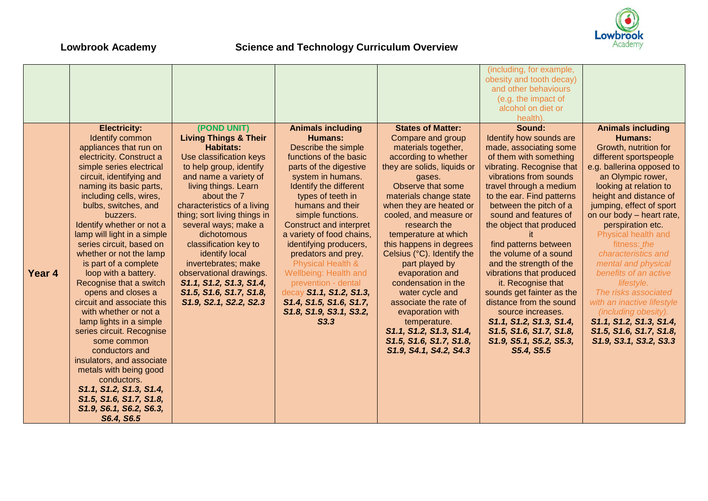

|        |                                                                                                                                                                                                                                                                                                                                                                                                                                                                                                                                                                                                                                                                                                                                                                                          |                                                                                                                                                                                                                                                                                                                                                                                                                                                                              |                                                                                                                                                                                                                                                                                                                                                                                                                                                                                                           |                                                                                                                                                                                                                                                                                                                                                                                                                                                                                                                                                                        | (including, for example,<br>obesity and tooth decay)<br>and other behaviours<br>(e.g. the impact of<br>alcohol on diet or<br>health).                                                                                                                                                                                                                                                                                                                                                                                                                                                          |                                                                                                                                                                                                                                                                                                                                                                                                                                                                                                                                                                             |
|--------|------------------------------------------------------------------------------------------------------------------------------------------------------------------------------------------------------------------------------------------------------------------------------------------------------------------------------------------------------------------------------------------------------------------------------------------------------------------------------------------------------------------------------------------------------------------------------------------------------------------------------------------------------------------------------------------------------------------------------------------------------------------------------------------|------------------------------------------------------------------------------------------------------------------------------------------------------------------------------------------------------------------------------------------------------------------------------------------------------------------------------------------------------------------------------------------------------------------------------------------------------------------------------|-----------------------------------------------------------------------------------------------------------------------------------------------------------------------------------------------------------------------------------------------------------------------------------------------------------------------------------------------------------------------------------------------------------------------------------------------------------------------------------------------------------|------------------------------------------------------------------------------------------------------------------------------------------------------------------------------------------------------------------------------------------------------------------------------------------------------------------------------------------------------------------------------------------------------------------------------------------------------------------------------------------------------------------------------------------------------------------------|------------------------------------------------------------------------------------------------------------------------------------------------------------------------------------------------------------------------------------------------------------------------------------------------------------------------------------------------------------------------------------------------------------------------------------------------------------------------------------------------------------------------------------------------------------------------------------------------|-----------------------------------------------------------------------------------------------------------------------------------------------------------------------------------------------------------------------------------------------------------------------------------------------------------------------------------------------------------------------------------------------------------------------------------------------------------------------------------------------------------------------------------------------------------------------------|
| Year 4 | <b>Electricity:</b><br>Identify common<br>appliances that run on<br>electricity. Construct a<br>simple series electrical<br>circuit, identifying and<br>naming its basic parts,<br>including cells, wires,<br>bulbs, switches, and<br>buzzers.<br>Identify whether or not a<br>lamp will light in a simple<br>series circuit, based on<br>whether or not the lamp<br>is part of a complete<br>loop with a battery.<br>Recognise that a switch<br>opens and closes a<br>circuit and associate this<br>with whether or not a<br>lamp lights in a simple<br>series circuit. Recognise<br>some common<br>conductors and<br>insulators, and associate<br>metals with being good<br>conductors.<br>S1.1, S1.2, S1.3, S1.4,<br>S1.5, S1.6, S1.7, S1.8,<br>S1.9, S6.1, S6.2, S6.3,<br>S6.4, S6.5 | (POND UNIT)<br><b>Living Things &amp; Their</b><br><b>Habitats:</b><br>Use classification keys<br>to help group, identify<br>and name a variety of<br>living things. Learn<br>about the 7<br>characteristics of a living<br>thing; sort living things in<br>several ways; make a<br>dichotomous<br>classification key to<br>identify local<br>invertebrates; make<br>observational drawings.<br>S1.1, S1.2, S1.3, S1.4,<br>S1.5, S1.6, S1.7, S1.8,<br>S1.9, S2.1, S2.2, S2.3 | <b>Animals including</b><br><b>Humans:</b><br>Describe the simple<br>functions of the basic<br>parts of the digestive<br>system in humans.<br>Identify the different<br>types of teeth in<br>humans and their<br>simple functions.<br>Construct and interpret<br>a variety of food chains,<br>identifying producers,<br>predators and prey.<br>Physical Health &<br>Wellbeing: Health and<br>prevention - dental<br>decay S1.1, S1.2, S1.3,<br>S1.4, S1.5, S1.6, S1.7,<br>S1.8, S1.9, S3.1, S3.2,<br>S3.3 | <b>States of Matter:</b><br>Compare and group<br>materials together,<br>according to whether<br>they are solids, liquids or<br>gases.<br>Observe that some<br>materials change state<br>when they are heated or<br>cooled, and measure or<br>research the<br>temperature at which<br>this happens in degrees<br>Celsius (°C). Identify the<br>part played by<br>evaporation and<br>condensation in the<br>water cycle and<br>associate the rate of<br>evaporation with<br>temperature.<br>S1.1, S1.2, S1.3, S1.4,<br>S1.5, S1.6, S1.7, S1.8,<br>S1.9, S4.1, S4.2, S4.3 | Sound:<br>Identify how sounds are<br>made, associating some<br>of them with something<br>vibrating. Recognise that<br>vibrations from sounds<br>travel through a medium<br>to the ear. Find patterns<br>between the pitch of a<br>sound and features of<br>the object that produced<br>find patterns between<br>the volume of a sound<br>and the strength of the<br>vibrations that produced<br>it. Recognise that<br>sounds get fainter as the<br>distance from the sound<br>source increases.<br>S1.1, S1.2, S1.3, S1.4,<br>S1.5, S1.6, S1.7, S1.8,<br>S1.9, S5.1, S5.2, S5.3,<br>S5.4, S5.5 | <b>Animals including</b><br><b>Humans:</b><br>Growth, nutrition for<br>different sportspeople<br>e.g. ballerina opposed to<br>an Olympic rower,<br>looking at relation to<br>height and distance of<br>jumping, effect of sport<br>on our body - heart rate,<br>perspiration etc.<br>Physical health and<br>fitness: the<br>characteristics and<br>mental and physical<br>benefits of an active<br>lifestyle.<br>The risks associated<br>with an inactive lifestyle<br>(including obesity).<br>S1.1, S1.2, S1.3, S1.4,<br>S1.5, S1.6, S1.7, S1.8,<br>S1.9, S3.1, S3.2, S3.3 |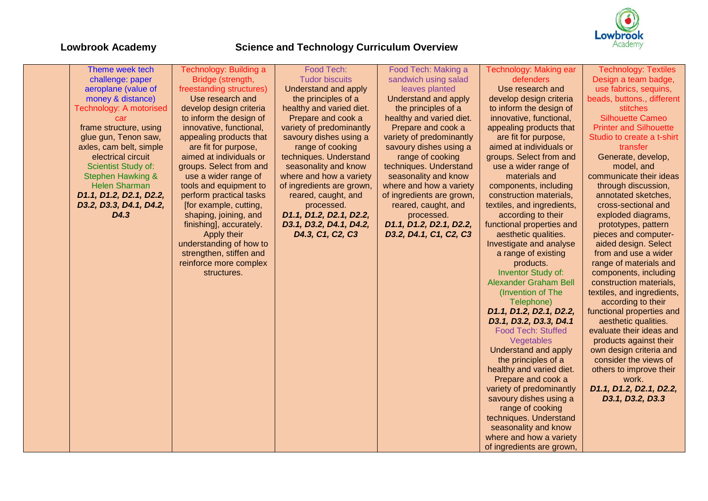

| Theme week tech              | Technology: Building a   | Food Tech:                | Food Tech: Making a       | Technology: Making ear       | <b>Technology: Textiles</b>   |
|------------------------------|--------------------------|---------------------------|---------------------------|------------------------------|-------------------------------|
| challenge: paper             | Bridge (strength,        | <b>Tudor biscuits</b>     | sandwich using salad      | defenders                    | Design a team badge,          |
| aeroplane (value of          | freestanding structures) | Understand and apply      | leaves planted            | Use research and             | use fabrics, sequins,         |
| money & distance)            | Use research and         | the principles of a       | Understand and apply      | develop design criteria      | beads, buttons., different    |
| Technology: A motorised      | develop design criteria  | healthy and varied diet.  | the principles of a       | to inform the design of      | stitches                      |
| car                          | to inform the design of  | Prepare and cook a        | healthy and varied diet.  | innovative, functional,      | <b>Silhouette Cameo</b>       |
| frame structure, using       | innovative, functional,  | variety of predominantly  | Prepare and cook a        | appealing products that      | <b>Printer and Silhouette</b> |
| glue gun, Tenon saw,         | appealing products that  | savoury dishes using a    | variety of predominantly  | are fit for purpose,         | Studio to create a t-shirt    |
| axles, cam belt, simple      | are fit for purpose,     | range of cooking          | savoury dishes using a    | aimed at individuals or      | transfer                      |
| electrical circuit           | aimed at individuals or  | techniques. Understand    | range of cooking          | groups. Select from and      | Generate, develop,            |
| Scientist Study of:          | groups. Select from and  | seasonality and know      | techniques. Understand    | use a wider range of         | model, and                    |
| <b>Stephen Hawking &amp;</b> | use a wider range of     | where and how a variety   | seasonality and know      | materials and                | communicate their ideas       |
| <b>Helen Sharman</b>         | tools and equipment to   | of ingredients are grown, | where and how a variety   | components, including        | through discussion,           |
| D1.1, D1.2, D2.1, D2.2,      | perform practical tasks  | reared, caught, and       | of ingredients are grown, | construction materials,      | annotated sketches,           |
| D3.2, D3.3, D4.1, D4.2,      | [for example, cutting,   | processed.                | reared, caught, and       | textiles, and ingredients,   | cross-sectional and           |
| D4.3                         | shaping, joining, and    | D1.1, D1.2, D2.1, D2.2,   | processed.                | according to their           | exploded diagrams,            |
|                              | finishing], accurately.  | D3.1, D3.2, D4.1, D4.2,   | D1.1, D1.2, D2.1, D2.2,   | functional properties and    | prototypes, pattern           |
|                              | Apply their              | D4.3, C1, C2, C3          | D3.2, D4.1, C1, C2, C3    | aesthetic qualities.         | pieces and computer-          |
|                              | understanding of how to  |                           |                           | Investigate and analyse      | aided design. Select          |
|                              | strengthen, stiffen and  |                           |                           | a range of existing          | from and use a wider          |
|                              | reinforce more complex   |                           |                           | products.                    | range of materials and        |
|                              | structures.              |                           |                           | <b>Inventor Study of:</b>    | components, including         |
|                              |                          |                           |                           | <b>Alexander Graham Bell</b> | construction materials,       |
|                              |                          |                           |                           | (Invention of The            | textiles, and ingredients,    |
|                              |                          |                           |                           | Telephone)                   | according to their            |
|                              |                          |                           |                           | D1.1, D1.2, D2.1, D2.2,      | functional properties and     |
|                              |                          |                           |                           | D3.1, D3.2, D3.3, D4.1       | aesthetic qualities.          |
|                              |                          |                           |                           | <b>Food Tech: Stuffed</b>    | evaluate their ideas and      |
|                              |                          |                           |                           | Vegetables                   | products against their        |
|                              |                          |                           |                           | Understand and apply         | own design criteria and       |
|                              |                          |                           |                           | the principles of a          | consider the views of         |
|                              |                          |                           |                           | healthy and varied diet.     | others to improve their       |
|                              |                          |                           |                           | Prepare and cook a           | work.                         |
|                              |                          |                           |                           | variety of predominantly     | D1.1, D1.2, D2.1, D2.2,       |
|                              |                          |                           |                           | savoury dishes using a       | D3.1, D3.2, D3.3              |
|                              |                          |                           |                           | range of cooking             |                               |
|                              |                          |                           |                           | techniques. Understand       |                               |
|                              |                          |                           |                           | seasonality and know         |                               |
|                              |                          |                           |                           | where and how a variety      |                               |
|                              |                          |                           |                           | of ingredients are grown,    |                               |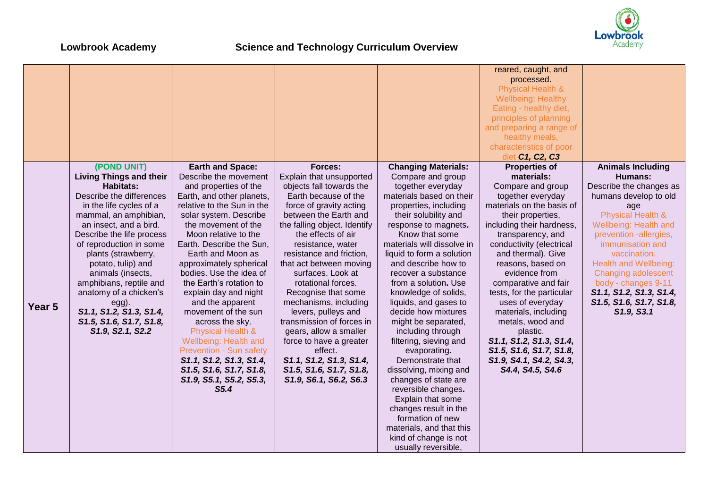

|                   |                                |                              |                              |                            | reared, caught, and          |                              |
|-------------------|--------------------------------|------------------------------|------------------------------|----------------------------|------------------------------|------------------------------|
|                   |                                |                              |                              |                            | processed.                   |                              |
|                   |                                |                              |                              |                            | <b>Physical Health &amp;</b> |                              |
|                   |                                |                              |                              |                            | <b>Wellbeing: Healthy</b>    |                              |
|                   |                                |                              |                              |                            | Eating - healthy diet,       |                              |
|                   |                                |                              |                              |                            | principles of planning       |                              |
|                   |                                |                              |                              |                            | and preparing a range of     |                              |
|                   |                                |                              |                              |                            | healthy meals,               |                              |
|                   |                                |                              |                              |                            | characteristics of poor      |                              |
|                   |                                |                              |                              |                            | diet C1, C2, C3              |                              |
|                   | (POND UNIT)                    | <b>Earth and Space:</b>      | Forces:                      | <b>Changing Materials:</b> | <b>Properties of</b>         | <b>Animals Including</b>     |
|                   | <b>Living Things and their</b> | Describe the movement        | Explain that unsupported     | Compare and group          | materials:                   | Humans:                      |
|                   | <b>Habitats:</b>               | and properties of the        | objects fall towards the     | together everyday          | Compare and group            | Describe the changes as      |
|                   | Describe the differences       | Earth, and other planets,    | Earth because of the         | materials based on their   | together everyday            | humans develop to old        |
|                   | in the life cycles of a        | relative to the Sun in the   | force of gravity acting      | properties, including      | materials on the basis of    | age                          |
|                   | mammal, an amphibian,          | solar system. Describe       | between the Earth and        | their solubility and       | their properties,            | <b>Physical Health &amp;</b> |
|                   | an insect, and a bird.         | the movement of the          | the falling object. Identify | response to magnets.       | including their hardness,    | Wellbeing: Health and        |
|                   | Describe the life process      | Moon relative to the         | the effects of air           | Know that some             | transparency, and            | prevention -allergies,       |
|                   | of reproduction in some        | Earth. Describe the Sun,     | resistance, water            | materials will dissolve in | conductivity (electrical     | immunisation and             |
|                   | plants (strawberry,            | Earth and Moon as            | resistance and friction,     | liquid to form a solution  | and thermal). Give           | vaccination.                 |
|                   | potato, tulip) and             | approximately spherical      | that act between moving      | and describe how to        | reasons, based on            | <b>Health and Wellbeing:</b> |
|                   | animals (insects,              | bodies. Use the idea of      | surfaces. Look at            | recover a substance        | evidence from                | Changing adolescent          |
|                   | amphibians, reptile and        | the Earth's rotation to      | rotational forces.           | from a solution. Use       | comparative and fair         | body - changes 9-11          |
|                   | anatomy of a chicken's         | explain day and night        | Recognise that some          | knowledge of solids,       | tests, for the particular    | S1.1, S1.2, S1.3, S1.4,      |
|                   | egg).                          | and the apparent             | mechanisms, including        | liquids, and gases to      | uses of everyday             | S1.5, S1.6, S1.7, S1.8,      |
| Year <sub>5</sub> | S1.1, S1.2, S1.3, S1.4,        | movement of the sun          | levers, pulleys and          | decide how mixtures        | materials, including         | S1.9, S3.1                   |
|                   | S1.5, S1.6, S1.7, S1.8,        | across the sky.              | transmission of forces in    | might be separated,        | metals, wood and             |                              |
|                   | S1.9, S2.1, S2.2               | <b>Physical Health &amp;</b> | gears, allow a smaller       | including through          | plastic.                     |                              |
|                   |                                | Wellbeing: Health and        | force to have a greater      | filtering, sieving and     | S1.1, S1.2, S1.3, S1.4,      |                              |
|                   |                                | Prevention - Sun safety      | effect.                      | evaporating.               | S1.5, S1.6, S1.7, S1.8,      |                              |
|                   |                                | S1.1, S1.2, S1.3, S1.4,      | S1.1, S1.2, S1.3, S1.4,      | Demonstrate that           | S1.9, S4.1, S4.2, S4.3,      |                              |
|                   |                                | S1.5, S1.6, S1.7, S1.8,      | S1.5, S1.6, S1.7, S1.8,      | dissolving, mixing and     | S4.4, S4.5, S4.6             |                              |
|                   |                                | S1.9, S5.1, S5.2, S5.3,      | S1.9, S6.1, S6.2, S6.3       | changes of state are       |                              |                              |
|                   |                                | S5.4                         |                              | reversible changes.        |                              |                              |
|                   |                                |                              |                              | Explain that some          |                              |                              |
|                   |                                |                              |                              | changes result in the      |                              |                              |
|                   |                                |                              |                              | formation of new           |                              |                              |
|                   |                                |                              |                              | materials, and that this   |                              |                              |
|                   |                                |                              |                              | kind of change is not      |                              |                              |
|                   |                                |                              |                              | usually reversible,        |                              |                              |
|                   |                                |                              |                              |                            |                              |                              |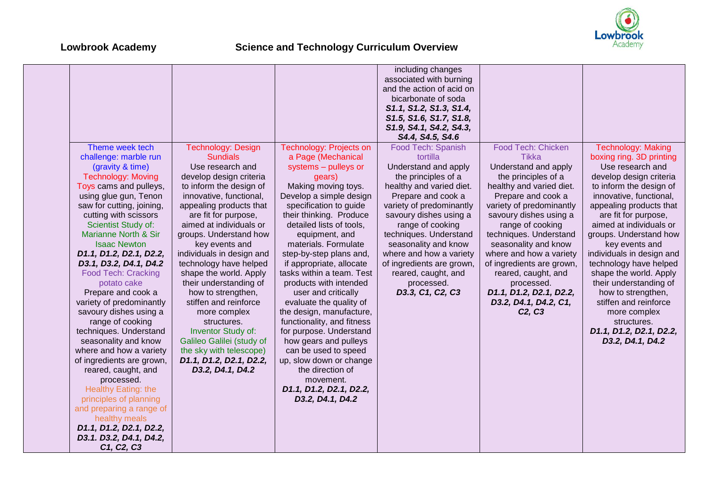

|                            |                           |                                | including changes         |                                 |                           |
|----------------------------|---------------------------|--------------------------------|---------------------------|---------------------------------|---------------------------|
|                            |                           |                                | associated with burning   |                                 |                           |
|                            |                           |                                | and the action of acid on |                                 |                           |
|                            |                           |                                | bicarbonate of soda       |                                 |                           |
|                            |                           |                                |                           |                                 |                           |
|                            |                           |                                | S1.1, S1.2, S1.3, S1.4,   |                                 |                           |
|                            |                           |                                | S1.5, S1.6, S1.7, S1.8,   |                                 |                           |
|                            |                           |                                | S1.9, S4.1, S4.2, S4.3,   |                                 |                           |
|                            |                           |                                | S4.4, S4.5, S4.6          |                                 |                           |
| Theme week tech            | <b>Technology: Design</b> | <b>Technology: Projects on</b> | Food Tech: Spanish        | <b>Food Tech: Chicken</b>       | <b>Technology: Making</b> |
| challenge: marble run      | <b>Sundials</b>           | a Page (Mechanical             | tortilla                  | <b>Tikka</b>                    | boxing ring. 3D printing  |
| (gravity & time)           | Use research and          | systems - pulleys or           | Understand and apply      | Understand and apply            | Use research and          |
| <b>Technology: Moving</b>  | develop design criteria   | gears)                         | the principles of a       | the principles of a             | develop design criteria   |
| Toys cams and pulleys,     | to inform the design of   | Making moving toys.            | healthy and varied diet.  | healthy and varied diet.        | to inform the design of   |
| using glue gun, Tenon      | innovative, functional,   | Develop a simple design        | Prepare and cook a        | Prepare and cook a              | innovative, functional,   |
| saw for cutting, joining,  | appealing products that   | specification to guide         | variety of predominantly  | variety of predominantly        | appealing products that   |
| cutting with scissors      | are fit for purpose,      | their thinking. Produce        | savoury dishes using a    | savoury dishes using a          | are fit for purpose,      |
| Scientist Study of:        | aimed at individuals or   | detailed lists of tools,       | range of cooking          | range of cooking                | aimed at individuals or   |
| Marianne North & Sir       | groups. Understand how    | equipment, and                 | techniques. Understand    | techniques. Understand          | groups. Understand how    |
| <b>Isaac Newton</b>        | key events and            | materials. Formulate           | seasonality and know      | seasonality and know            | key events and            |
| D1.1, D1.2, D2.1, D2.2,    | individuals in design and | step-by-step plans and,        | where and how a variety   | where and how a variety         | individuals in design and |
| D3.1, D3.2, D4.1, D4.2     | technology have helped    | if appropriate, allocate       | of ingredients are grown, | of ingredients are grown,       | technology have helped    |
| <b>Food Tech: Cracking</b> | shape the world. Apply    | tasks within a team. Test      | reared, caught, and       | reared, caught, and             | shape the world. Apply    |
| potato cake                | their understanding of    | products with intended         | processed.                | processed.                      | their understanding of    |
| Prepare and cook a         | how to strengthen,        | user and critically            | D3.3, C1, C2, C3          | D1.1, D1.2, D2.1, D2.2,         | how to strengthen,        |
| variety of predominantly   | stiffen and reinforce     | evaluate the quality of        |                           | D3.2, D4.1, D4.2, C1,           | stiffen and reinforce     |
| savoury dishes using a     | more complex              | the design, manufacture,       |                           | C <sub>2</sub> , C <sub>3</sub> | more complex              |
| range of cooking           | structures.               | functionality, and fitness     |                           |                                 | structures.               |
| techniques. Understand     | <b>Inventor Study of:</b> | for purpose. Understand        |                           |                                 | D1.1, D1.2, D2.1, D2.2,   |
| seasonality and know       | Galileo Galilei (study of | how gears and pulleys          |                           |                                 | D3.2, D4.1, D4.2          |
| where and how a variety    | the sky with telescope)   | can be used to speed           |                           |                                 |                           |
| of ingredients are grown,  | D1.1, D1.2, D2.1, D2.2,   | up, slow down or change        |                           |                                 |                           |
| reared, caught, and        | D3.2, D4.1, D4.2          | the direction of               |                           |                                 |                           |
| processed.                 |                           | movement.                      |                           |                                 |                           |
| Healthy Eating: the        |                           | D1.1, D1.2, D2.1, D2.2,        |                           |                                 |                           |
| principles of planning     |                           | D3.2, D4.1, D4.2               |                           |                                 |                           |
| and preparing a range of   |                           |                                |                           |                                 |                           |
| healthy meals              |                           |                                |                           |                                 |                           |
| D1.1, D1.2, D2.1, D2.2,    |                           |                                |                           |                                 |                           |
| D3.1. D3.2, D4.1, D4.2,    |                           |                                |                           |                                 |                           |
| C1, C2, C3                 |                           |                                |                           |                                 |                           |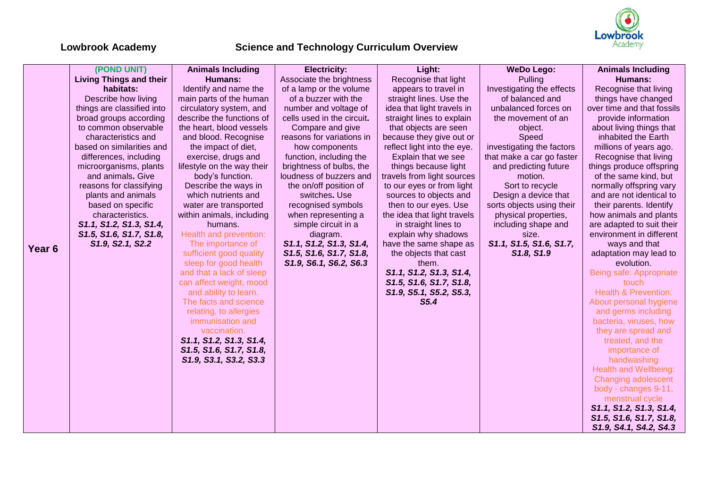

|                   | (POND UNIT)                    | <b>Animals Including</b>   | <b>Electricity:</b>        | Light:                      | <b>WeDo Lego:</b>         | <b>Animals Including</b>        |
|-------------------|--------------------------------|----------------------------|----------------------------|-----------------------------|---------------------------|---------------------------------|
|                   | <b>Living Things and their</b> | <b>Humans:</b>             | Associate the brightness   | Recognise that light        | Pulling                   | Humans:                         |
|                   | habitats:                      | Identify and name the      | of a lamp or the volume    | appears to travel in        | Investigating the effects | Recognise that living           |
|                   | Describe how living            | main parts of the human    | of a buzzer with the       | straight lines. Use the     | of balanced and           | things have changed             |
|                   | things are classified into     | circulatory system, and    | number and voltage of      | idea that light travels in  | unbalanced forces on      | over time and that fossils      |
|                   | broad groups according         | describe the functions of  | cells used in the circuit. | straight lines to explain   | the movement of an        | provide information             |
|                   | to common observable           | the heart, blood vessels   | Compare and give           | that objects are seen       | object.                   | about living things that        |
|                   | characteristics and            | and blood. Recognise       | reasons for variations in  | because they give out or    | Speed                     | inhabited the Earth             |
|                   | based on similarities and      | the impact of diet,        | how components             | reflect light into the eye. | investigating the factors | millions of years ago.          |
|                   | differences, including         | exercise, drugs and        | function, including the    | Explain that we see         | that make a car go faster | Recognise that living           |
|                   | microorganisms, plants         | lifestyle on the way their | brightness of bulbs, the   | things because light        | and predicting future     | things produce offspring        |
|                   | and animals. Give              | body's function.           | loudness of buzzers and    | travels from light sources  | motion.                   | of the same kind, but           |
|                   | reasons for classifying        | Describe the ways in       | the on/off position of     | to our eyes or from light   | Sort to recycle           | normally offspring vary         |
|                   | plants and animals             | which nutrients and        | switches. Use              | sources to objects and      | Design a device that      | and are not identical to        |
|                   | based on specific              | water are transported      | recognised symbols         | then to our eyes. Use       | sorts objects using their | their parents. Identify         |
|                   | characteristics.               | within animals, including  | when representing a        | the idea that light travels | physical properties,      | how animals and plants          |
|                   | S1.1, S1.2, S1.3, S1.4,        | humans.                    | simple circuit in a        | in straight lines to        | including shape and       | are adapted to suit their       |
|                   | S1.5, S1.6, S1.7, S1.8,        | Health and prevention:     | diagram.                   | explain why shadows         | size.                     | environment in different        |
| Year <sub>6</sub> | S1.9, S2.1, S2.2               | The importance of          | S1.1, S1.2, S1.3, S1.4,    | have the same shape as      | S1.1, S1.5, S1.6, S1.7,   | ways and that                   |
|                   |                                | sufficient good quality    | S1.5, S1.6, S1.7, S1.8,    | the objects that cast       | S1.8, S1.9                | adaptation may lead to          |
|                   |                                | sleep for good health      | S1.9, S6.1, S6.2, S6.3     | them.                       |                           | evolution.                      |
|                   |                                | and that a lack of sleep   |                            | S1.1, S1.2, S1.3, S1.4,     |                           | Being safe: Appropriate         |
|                   |                                | can affect weight, mood    |                            | S1.5, S1.6, S1.7, S1.8,     |                           | touch                           |
|                   |                                | and ability to learn.      |                            | S1.9, S5.1, S5.2, S5.3,     |                           | <b>Health &amp; Prevention:</b> |
|                   |                                | The facts and science      |                            | S5.4                        |                           | About personal hygiene          |
|                   |                                | relating, to allergies     |                            |                             |                           | and germs including             |
|                   |                                | immunisation and           |                            |                             |                           | bacteria, viruses, how          |
|                   |                                | vaccination.               |                            |                             |                           | they are spread and             |
|                   |                                | S1.1, S1.2, S1.3, S1.4,    |                            |                             |                           | treated, and the                |
|                   |                                | S1.5, S1.6, S1.7, S1.8,    |                            |                             |                           | importance of                   |
|                   |                                | S1.9, S3.1, S3.2, S3.3     |                            |                             |                           | handwashing                     |
|                   |                                |                            |                            |                             |                           | <b>Health and Wellbeing:</b>    |
|                   |                                |                            |                            |                             |                           | Changing adolescent             |
|                   |                                |                            |                            |                             |                           | body - changes 9-11,            |
|                   |                                |                            |                            |                             |                           | menstrual cycle                 |
|                   |                                |                            |                            |                             |                           | S1.1, S1.2, S1.3, S1.4,         |
|                   |                                |                            |                            |                             |                           | S1.5, S1.6, S1.7, S1.8,         |
|                   |                                |                            |                            |                             |                           | S1.9, S4.1, S4.2, S4.3          |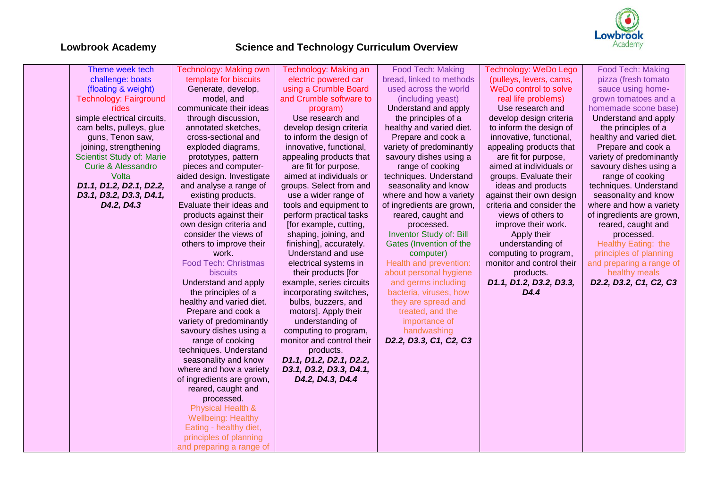

| Theme week tech               | Technology: Making own       | Technology: Making an     | Food Tech: Making         | <b>Technology: WeDo Lego</b> | <b>Food Tech: Making</b>  |
|-------------------------------|------------------------------|---------------------------|---------------------------|------------------------------|---------------------------|
| challenge: boats              | template for biscuits        | electric powered car      | bread, linked to methods  | (pulleys, levers, cams,      | pizza (fresh tomato       |
|                               | Generate, develop,           | using a Crumble Board     | used across the world     | WeDo control to solve        | sauce using home-         |
| (floating & weight)           |                              |                           |                           |                              |                           |
| <b>Technology: Fairground</b> | model, and                   | and Crumble software to   | (including yeast)         | real life problems)          | grown tomatoes and a      |
| rides                         | communicate their ideas      | program)                  | Understand and apply      | Use research and             | homemade scone base)      |
| simple electrical circuits,   | through discussion,          | Use research and          | the principles of a       | develop design criteria      | Understand and apply      |
| cam belts, pulleys, glue      | annotated sketches,          | develop design criteria   | healthy and varied diet.  | to inform the design of      | the principles of a       |
| guns, Tenon saw,              | cross-sectional and          | to inform the design of   | Prepare and cook a        | innovative, functional,      | healthy and varied diet.  |
| joining, strengthening        | exploded diagrams,           | innovative, functional,   | variety of predominantly  | appealing products that      | Prepare and cook a        |
| Scientist Study of: Marie     | prototypes, pattern          | appealing products that   | savoury dishes using a    | are fit for purpose,         | variety of predominantly  |
| <b>Curie &amp; Alessandro</b> | pieces and computer-         | are fit for purpose,      | range of cooking          | aimed at individuals or      | savoury dishes using a    |
| Volta                         | aided design. Investigate    | aimed at individuals or   | techniques. Understand    | groups. Evaluate their       | range of cooking          |
| D1.1, D1.2, D2.1, D2.2,       | and analyse a range of       | groups. Select from and   | seasonality and know      | ideas and products           | techniques. Understand    |
| D3.1, D3.2, D3.3, D4.1,       | existing products.           | use a wider range of      | where and how a variety   | against their own design     | seasonality and know      |
| D4.2, D4.3                    | Evaluate their ideas and     | tools and equipment to    | of ingredients are grown, | criteria and consider the    | where and how a variety   |
|                               | products against their       | perform practical tasks   | reared, caught and        | views of others to           | of ingredients are grown, |
|                               | own design criteria and      | [for example, cutting,    | processed.                | improve their work.          | reared, caught and        |
|                               | consider the views of        | shaping, joining, and     | Inventor Study of: Bill   | Apply their                  | processed.                |
|                               | others to improve their      | finishing], accurately.   | Gates (Invention of the   | understanding of             | Healthy Eating: the       |
|                               | work.                        | Understand and use        | computer)                 | computing to program,        | principles of planning    |
|                               | <b>Food Tech: Christmas</b>  | electrical systems in     | Health and prevention:    | monitor and control their    | and preparing a range of  |
|                               | biscuits                     | their products [for       | about personal hygiene    | products.                    | healthy meals             |
|                               | Understand and apply         | example, series circuits  | and germs including       | D1.1, D1.2, D3.2, D3.3,      | D2.2, D3.2, C1, C2, C3    |
|                               | the principles of a          | incorporating switches,   | bacteria, viruses, how    | D <sub>4.4</sub>             |                           |
|                               | healthy and varied diet.     | bulbs, buzzers, and       | they are spread and       |                              |                           |
|                               | Prepare and cook a           | motors]. Apply their      | treated, and the          |                              |                           |
|                               | variety of predominantly     | understanding of          | importance of             |                              |                           |
|                               | savoury dishes using a       | computing to program,     | handwashing               |                              |                           |
|                               | range of cooking             | monitor and control their | D2.2, D3.3, C1, C2, C3    |                              |                           |
|                               | techniques. Understand       | products.                 |                           |                              |                           |
|                               | seasonality and know         | D1.1, D1.2, D2.1, D2.2,   |                           |                              |                           |
|                               | where and how a variety      | D3.1, D3.2, D3.3, D4.1,   |                           |                              |                           |
|                               | of ingredients are grown,    | D4.2, D4.3, D4.4          |                           |                              |                           |
|                               | reared, caught and           |                           |                           |                              |                           |
|                               | processed.                   |                           |                           |                              |                           |
|                               | <b>Physical Health &amp;</b> |                           |                           |                              |                           |
|                               | <b>Wellbeing: Healthy</b>    |                           |                           |                              |                           |
|                               | Eating - healthy diet,       |                           |                           |                              |                           |
|                               | principles of planning       |                           |                           |                              |                           |
|                               | and preparing a range of     |                           |                           |                              |                           |
|                               |                              |                           |                           |                              |                           |